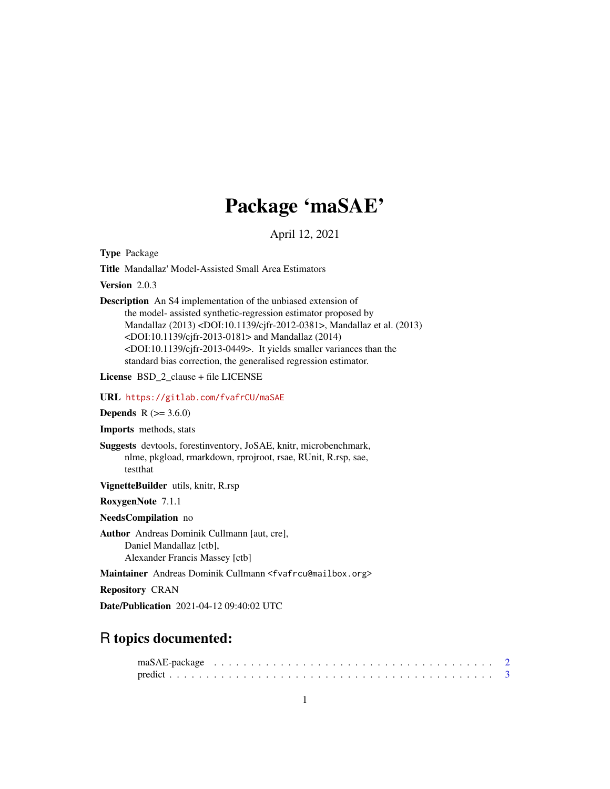# Package 'maSAE'

April 12, 2021

<span id="page-0-0"></span>Type Package

Title Mandallaz' Model-Assisted Small Area Estimators

Version 2.0.3

Description An S4 implementation of the unbiased extension of the model- assisted synthetic-regression estimator proposed by Mandallaz (2013) <DOI:10.1139/cjfr-2012-0381>, Mandallaz et al. (2013) <DOI:10.1139/cjfr-2013-0181> and Mandallaz (2014) <DOI:10.1139/cjfr-2013-0449>. It yields smaller variances than the standard bias correction, the generalised regression estimator.

License BSD\_2\_clause + file LICENSE

#### URL <https://gitlab.com/fvafrCU/maSAE>

**Depends** R  $(>= 3.6.0)$ 

Imports methods, stats

Suggests devtools, forestinventory, JoSAE, knitr, microbenchmark, nlme, pkgload, rmarkdown, rprojroot, rsae, RUnit, R.rsp, sae, testthat

VignetteBuilder utils, knitr, R.rsp

RoxygenNote 7.1.1

NeedsCompilation no

Author Andreas Dominik Cullmann [aut, cre], Daniel Mandallaz [ctb], Alexander Francis Massey [ctb]

Maintainer Andreas Dominik Cullmann <fvafrcu@mailbox.org>

Repository CRAN

Date/Publication 2021-04-12 09:40:02 UTC

# R topics documented: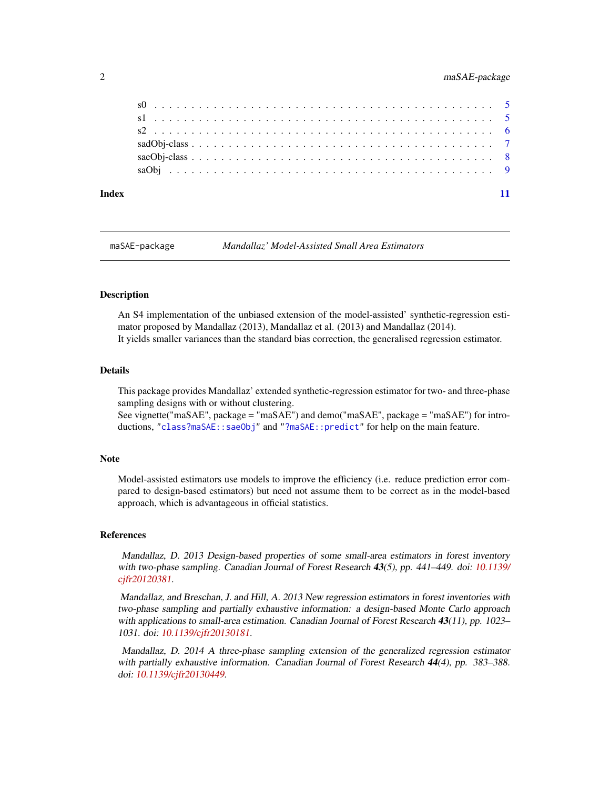<span id="page-1-0"></span>

| Index |  |  |
|-------|--|--|

maSAE-package *Mandallaz' Model-Assisted Small Area Estimators*

#### **Description**

An S4 implementation of the unbiased extension of the model-assisted' synthetic-regression estimator proposed by Mandallaz (2013), Mandallaz et al. (2013) and Mandallaz (2014). It yields smaller variances than the standard bias correction, the generalised regression estimator.

#### Details

This package provides Mandallaz' extended synthetic-regression estimator for two- and three-phase sampling designs with or without clustering.

See vignette("maSAE", package = "maSAE") and demo("maSAE", package = "maSAE") for introductions, ["class?maSAE::saeObj"](#page-7-1) and ["?maSAE::predict"](#page-2-1) for help on the main feature.

#### **Note**

Model-assisted estimators use models to improve the efficiency (i.e. reduce prediction error compared to design-based estimators) but need not assume them to be correct as in the model-based approach, which is advantageous in official statistics.

#### References

Mandallaz, D. 2013 Design-based properties of some small-area estimators in forest inventory with two-phase sampling. Canadian Journal of Forest Research 43(5), pp. 441–449. doi: [10.1139/](https://doi.org/10.1139/cjfr-2012-0381) [cjfr20120381.](https://doi.org/10.1139/cjfr-2012-0381)

Mandallaz, and Breschan, J. and Hill, A. 2013 New regression estimators in forest inventories with two-phase sampling and partially exhaustive information: a design-based Monte Carlo approach with applications to small-area estimation. Canadian Journal of Forest Research 43(11), pp. 1023– 1031. doi: [10.1139/cjfr20130181.](https://doi.org/10.1139/cjfr-2013-0181)

Mandallaz, D. 2014 A three-phase sampling extension of the generalized regression estimator with partially exhaustive information. Canadian Journal of Forest Research 44(4), pp. 383–388. doi: [10.1139/cjfr20130449.](https://doi.org/10.1139/cjfr-2013-0449)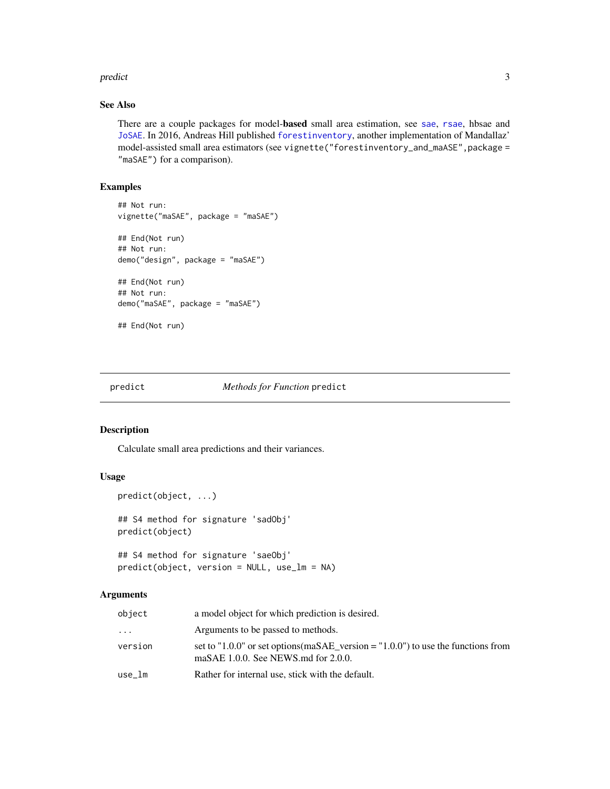#### <span id="page-2-0"></span>predict 3

# See Also

There are a couple packages for model-based small area estimation, see [sae](#page-0-0), [rsae](#page-0-0), hbsae and [JoSAE](#page-0-0). In 2016, Andreas Hill published [forestinventory](#page-0-0), another implementation of Mandallaz' model-assisted small area estimators (see vignette("forestinventory\_and\_maASE", package = "maSAE") for a comparison).

# Examples

```
## Not run:
vignette("maSAE", package = "maSAE")
## End(Not run)
## Not run:
demo("design", package = "maSAE")
## End(Not run)
## Not run:
demo("maSAE", package = "maSAE")
## End(Not run)
```
# <span id="page-2-1"></span>predict *Methods for Function* predict

#### Description

Calculate small area predictions and their variances.

# Usage

```
predict(object, ...)
## S4 method for signature 'sadObj'
predict(object)
## S4 method for signature 'saeObj'
predict(object, version = NULL, use_lm = NA)
```
#### Arguments

| object  | a model object for which prediction is desired.                                                                                |
|---------|--------------------------------------------------------------------------------------------------------------------------------|
| .       | Arguments to be passed to methods.                                                                                             |
| version | set to "1.0.0" or set options (maSAE version = "1.0.0") to use the functions from<br>maSAE $1.0.0$ . See NEWS md for $2.0.0$ . |
| use lm  | Rather for internal use, stick with the default.                                                                               |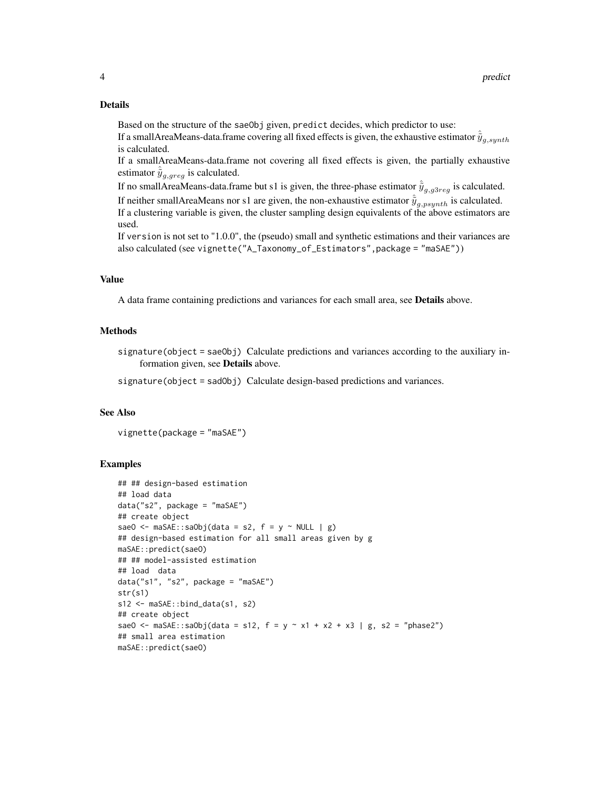#### Details

Based on the structure of the saeObj given, predict decides, which predictor to use: If a smallAreaMeans-data.frame covering all fixed effects is given, the exhaustive estimator  $\tilde{y}_{q,\text{synth}}$ is calculated.

If a smallAreaMeans-data.frame not covering all fixed effects is given, the partially exhaustive estimator  $\tilde{y}_{g,greg}$  is calculated.

If no smallAreaMeans-data.frame but s1 is given, the three-phase estimator  $\tilde{y}_{a,a3rea}$  is calculated. If neither smallAreaMeans nor s1 are given, the non-exhaustive estimator  $\tilde{y}_{q,psynth}$  is calculated. If a clustering variable is given, the cluster sampling design equivalents of the above estimators are used.

If version is not set to "1.0.0", the (pseudo) small and synthetic estimations and their variances are also calculated (see vignette("A\_Taxonomy\_of\_Estimators",package = "maSAE"))

#### Value

A data frame containing predictions and variances for each small area, see Details above.

#### Methods

signature(object = saeObj) Calculate predictions and variances according to the auxiliary information given, see Details above.

signature(object = sadObj) Calculate design-based predictions and variances.

#### See Also

vignette(package = "maSAE")

#### Examples

```
## ## design-based estimation
## load data
data("s2", package = "maSAE")
## create object
saeO <- maSAE::saObj(data = s2, f = y \sim NULL | g)
## design-based estimation for all small areas given by g
maSAE::predict(saeO)
## ## model-assisted estimation
## load data
data("s1", "s2", package = "maSAE")
str(s1)
s12 <- maSAE::bind_data(s1, s2)
## create object
saeO <- maSAE::saObj(data = s12, f = y ~ x1 + x2 + x3 | g, s2 = "phase2")
## small area estimation
maSAE::predict(saeO)
```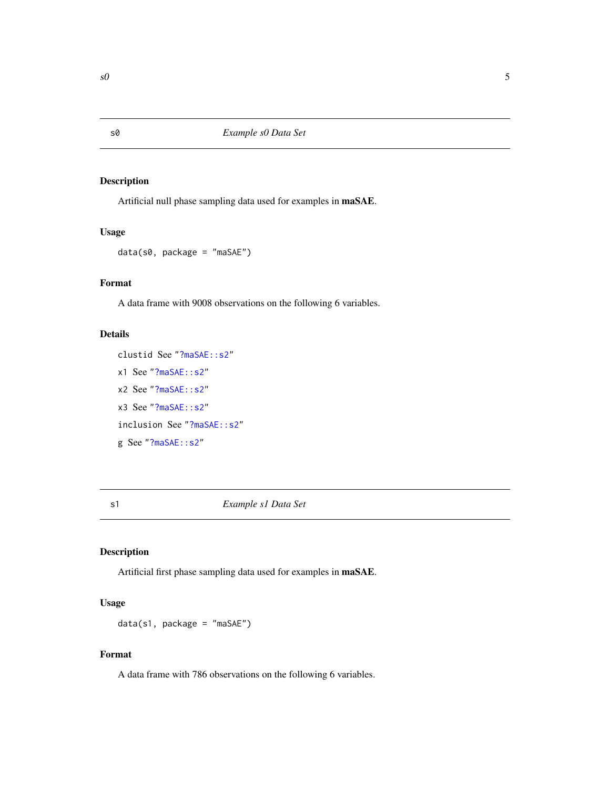# Description

Artificial null phase sampling data used for examples in maSAE.

# Usage

```
data(s0, package = "maSAE")
```
# Format

A data frame with 9008 observations on the following 6 variables.

### Details

clustid See ["?maSAE::s2"](#page-5-1) x1 See ["?maSAE::s2"](#page-5-1) x2 See ["?maSAE::s2"](#page-5-1) x3 See ["?maSAE::s2"](#page-5-1) inclusion See ["?maSAE::s2"](#page-5-1) g See ["?maSAE::s2"](#page-5-1)

# s1 *Example s1 Data Set*

# Description

Artificial first phase sampling data used for examples in maSAE.

# Usage

```
data(s1, package = "maSAE")
```
# Format

A data frame with 786 observations on the following 6 variables.

<span id="page-4-0"></span>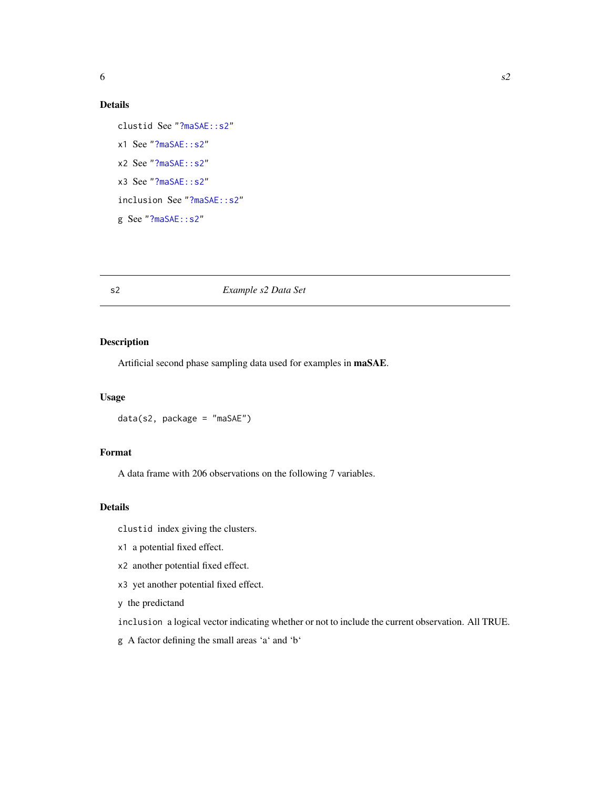# <span id="page-5-0"></span>Details

```
clustid See "?maSAE::s2"
x1 See "?maSAE::s2"
x2 See "?maSAE::s2"
x3 See "?maSAE::s2"
inclusion See "?maSAE::s2"
g See "?maSAE::s2"
```
# <span id="page-5-1"></span>s2 *Example s2 Data Set*

## Description

Artificial second phase sampling data used for examples in maSAE.

#### Usage

data(s2, package = "maSAE")

## Format

A data frame with 206 observations on the following 7 variables.

# Details

clustid index giving the clusters.

- x1 a potential fixed effect.
- x2 another potential fixed effect.
- x3 yet another potential fixed effect.
- y the predictand

inclusion a logical vector indicating whether or not to include the current observation. All TRUE.

g A factor defining the small areas 'a' and 'b'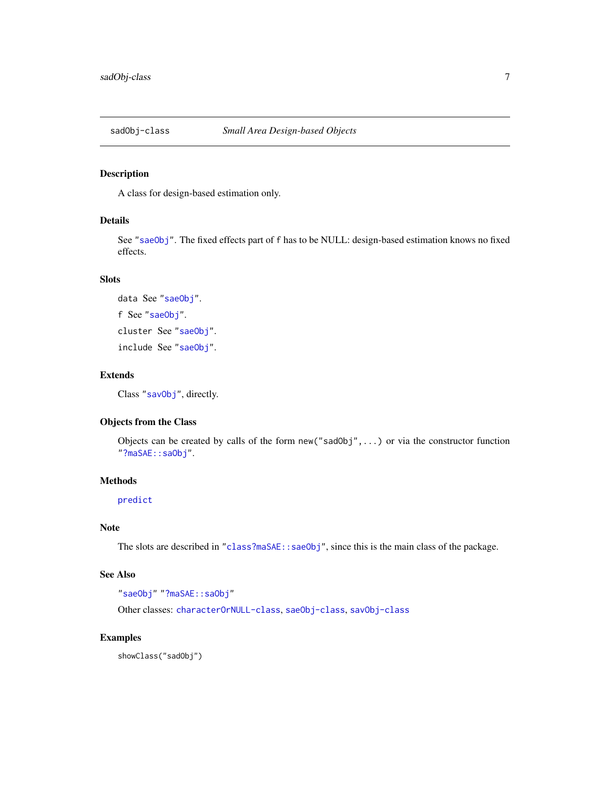<span id="page-6-1"></span><span id="page-6-0"></span>

#### Description

A class for design-based estimation only.

# Details

See ["saeObj"](#page-7-1). The fixed effects part of f has to be NULL: design-based estimation knows no fixed effects.

#### Slots

data See ["saeObj"](#page-7-1). f See ["saeObj"](#page-7-1). cluster See ["saeObj"](#page-7-1). include See ["saeObj"](#page-7-1).

#### Extends

Class ["savObj"](#page-0-0), directly.

# Objects from the Class

Objects can be created by calls of the form  $new("sadObj", \ldots)$  or via the constructor function ["?maSAE::saObj"](#page-8-1).

#### Methods

[predict](#page-2-1)

## Note

The slots are described in ["class?maSAE::saeObj"](#page-7-1), since this is the main class of the package.

# See Also

```
"saeObj" "?maSAE::saObj"
```
Other classes: [characterOrNULL-class](#page-0-0), [saeObj-class](#page-7-1), [savObj-class](#page-0-0)

# Examples

showClass("sadObj")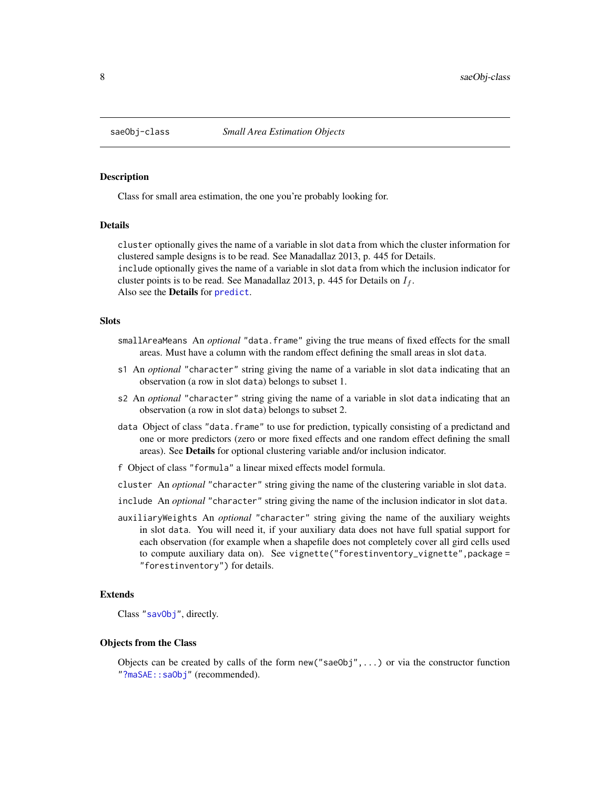<span id="page-7-1"></span><span id="page-7-0"></span>

#### Description

Class for small area estimation, the one you're probably looking for.

#### Details

cluster optionally gives the name of a variable in slot data from which the cluster information for clustered sample designs is to be read. See Manadallaz 2013, p. 445 for Details. include optionally gives the name of a variable in slot data from which the inclusion indicator for cluster points is to be read. See Manadallaz 2013, p. 445 for Details on  $I_f$ . Also see the **Details** for [predict](#page-2-1).

#### **Slots**

- smallAreaMeans An *optional* "data.frame" giving the true means of fixed effects for the small areas. Must have a column with the random effect defining the small areas in slot data.
- s1 An *optional* "character" string giving the name of a variable in slot data indicating that an observation (a row in slot data) belongs to subset 1.
- s2 An *optional* "character" string giving the name of a variable in slot data indicating that an observation (a row in slot data) belongs to subset 2.
- data Object of class "data.frame" to use for prediction, typically consisting of a predictand and one or more predictors (zero or more fixed effects and one random effect defining the small areas). See Details for optional clustering variable and/or inclusion indicator.
- f Object of class "formula" a linear mixed effects model formula.
- cluster An *optional* "character" string giving the name of the clustering variable in slot data.
- include An *optional* "character" string giving the name of the inclusion indicator in slot data.
- auxiliaryWeights An *optional* "character" string giving the name of the auxiliary weights in slot data. You will need it, if your auxiliary data does not have full spatial support for each observation (for example when a shapefile does not completely cover all gird cells used to compute auxiliary data on). See vignette("forestinventory\_vignette",package = "forestinventory") for details.

#### Extends

Class ["savObj"](#page-0-0), directly.

#### Objects from the Class

Objects can be created by calls of the form  $new("saeObj", \ldots)$  or via the constructor function ["?maSAE::saObj"](#page-8-1) (recommended).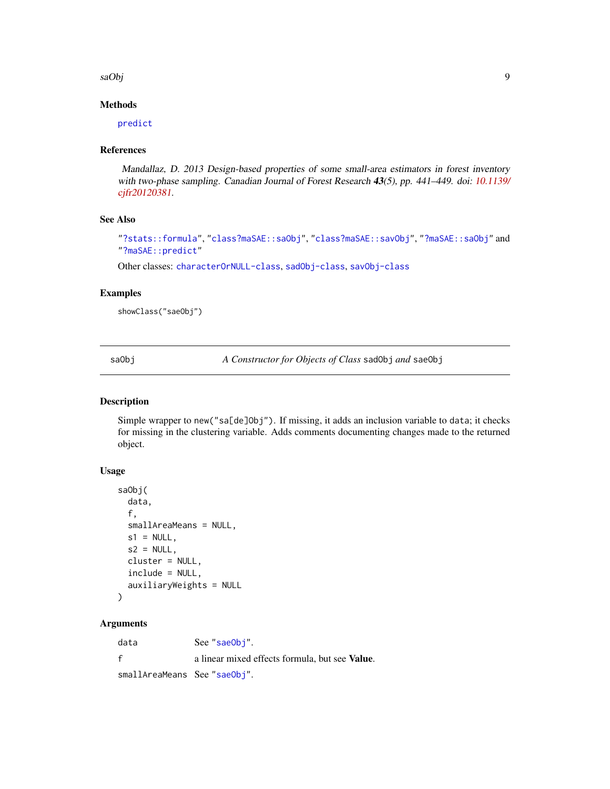<span id="page-8-0"></span>saObj

# Methods

[predict](#page-2-1)

#### References

Mandallaz, D. 2013 Design-based properties of some small-area estimators in forest inventory with two-phase sampling. Canadian Journal of Forest Research 43(5), pp. 441–449. doi: [10.1139/](https://doi.org/10.1139/cjfr-2012-0381) [cjfr20120381.](https://doi.org/10.1139/cjfr-2012-0381)

# See Also

```
"?stats::formula", "class?maSAE::saObj", "class?maSAE::savObj", "?maSAE::saObj" and
"?maSAE::predict"
```
Other classes: [characterOrNULL-class](#page-0-0), [sadObj-class](#page-6-1), [savObj-class](#page-0-0)

#### Examples

showClass("saeObj")

<span id="page-8-1"></span>saObj *A Constructor for Objects of Class* sadObj *and* saeObj

#### Description

Simple wrapper to new("sa[de]Obj"). If missing, it adds an inclusion variable to data; it checks for missing in the clustering variable. Adds comments documenting changes made to the returned object.

# Usage

```
saObj(
  data,
  f,
  smallAreaMeans = NULL,
  s1 = NULL,s2 = NULL,
  cluster = NULL,
  include = NULL,
  auxiliaryWeights = NULL
)
```
# Arguments

data See ["saeObj"](#page-7-1). f a linear mixed effects formula, but see Value. smallAreaMeans See ["saeObj"](#page-7-1).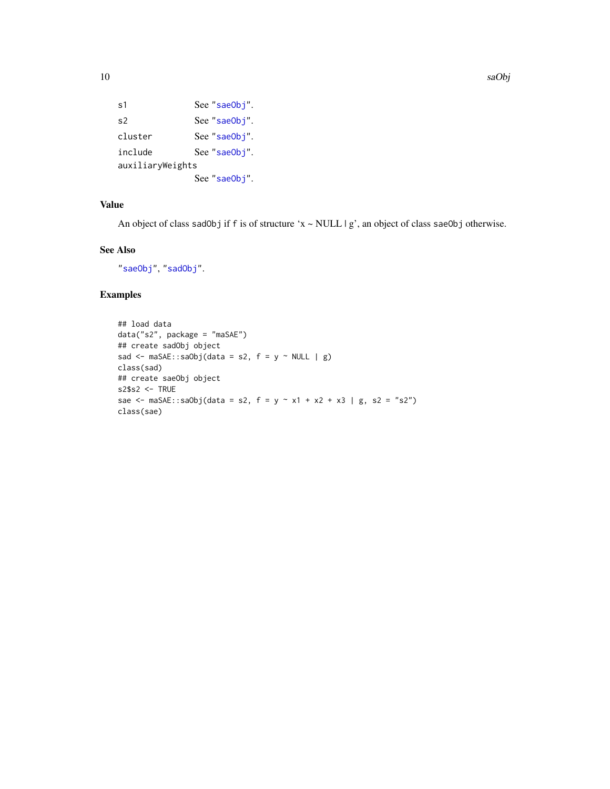```
"saeObj".
"saeObj".
"saeObj".
include See "saeObj".
auxiliaryWeights
         See "saeObj".
```
# Value

An object of class sadObj if f is of structure 'x ~ NULL | g', an object of class saeObj otherwise.

# See Also

["saeObj"](#page-7-1), ["sadObj"](#page-6-1).

# Examples

```
## load data
data("s2", package = "maSAE")
## create sadObj object
sad <- maSAE::saObj(data = s2, f = y \sim NULL | g)class(sad)
## create saeObj object
s2$s2 <- TRUE
sae <- maSAE::saObj(data = s2, f = y ~ x1 + x2 + x3 | g, s2 = "s2")
class(sae)
```